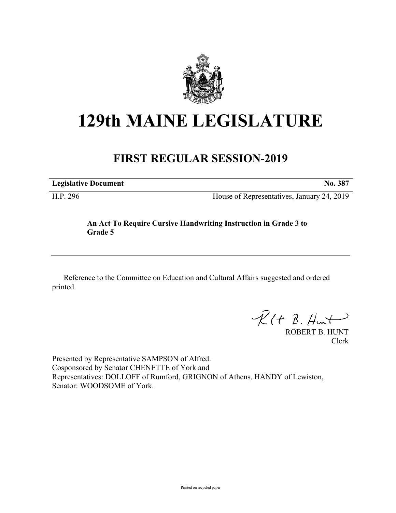

# **129th MAINE LEGISLATURE**

## **FIRST REGULAR SESSION-2019**

**Legislative Document No. 387**

H.P. 296 House of Representatives, January 24, 2019

### **An Act To Require Cursive Handwriting Instruction in Grade 3 to Grade 5**

Reference to the Committee on Education and Cultural Affairs suggested and ordered printed.

 $R(H B. H<sub>un</sub>+)$ 

ROBERT B. HUNT Clerk

Presented by Representative SAMPSON of Alfred. Cosponsored by Senator CHENETTE of York and Representatives: DOLLOFF of Rumford, GRIGNON of Athens, HANDY of Lewiston, Senator: WOODSOME of York.